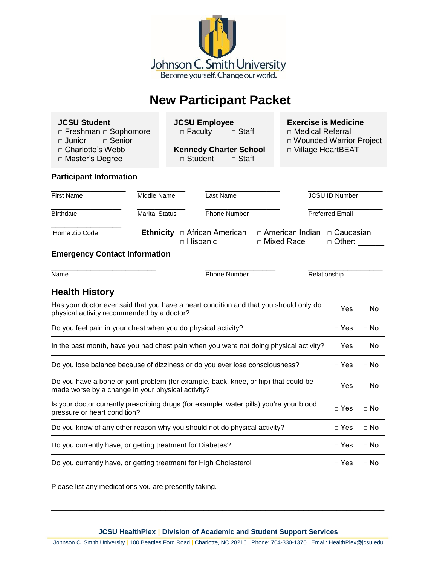

# **New Participant Packet**

□ Freshman □ Sophomore □ □ Faculty □ Staff

 **□** Master's Degree **□** Student **□** Staff

 **JCSU Student JCSU Employee Exercise is Medicine**

- **□** Junior **□** Senior **□** Wounded Warrior Project
- □ Charlotte's Webb **Kennedy Charter School** □ Village HeartBEAT

# **Participant Information**

| <b>First Name</b>                                                                                                                        | Middle Name           | Last Name                             |                                   |                              | <b>JCSU ID Number</b>  |  |
|------------------------------------------------------------------------------------------------------------------------------------------|-----------------------|---------------------------------------|-----------------------------------|------------------------------|------------------------|--|
| <b>Birthdate</b>                                                                                                                         | <b>Marital Status</b> | <b>Phone Number</b>                   |                                   |                              | <b>Preferred Email</b> |  |
| Home Zip Code                                                                                                                            | <b>Ethnicity</b>      | □ African American<br>$\Box$ Hispanic | □ American Indian<br>□ Mixed Race | □ Caucasian<br>$\Box$ Other: |                        |  |
| <b>Emergency Contact Information</b>                                                                                                     |                       |                                       |                                   |                              |                        |  |
| Name                                                                                                                                     | <b>Phone Number</b>   |                                       | Relationship                      |                              |                        |  |
| <b>Health History</b>                                                                                                                    |                       |                                       |                                   |                              |                        |  |
| Has your doctor ever said that you have a heart condition and that you should only do<br>physical activity recommended by a doctor?      |                       |                                       |                                   | $\sqcap$ Yes                 | $\sqcap$ No            |  |
| Do you feel pain in your chest when you do physical activity?                                                                            |                       |                                       |                                   | $\sqcap$ Yes                 | $\sqcap$ No            |  |
| In the past month, have you had chest pain when you were not doing physical activity?                                                    |                       |                                       |                                   | $\Box$ Yes                   | $\Box$ No              |  |
| Do you lose balance because of dizziness or do you ever lose consciousness?                                                              |                       |                                       |                                   | $\sqcap$ Yes                 | $\Box$ No              |  |
| Do you have a bone or joint problem (for example, back, knee, or hip) that could be<br>made worse by a change in your physical activity? |                       |                                       |                                   | $\sqcap$ Yes                 | $\sqcap$ No            |  |
| Is your doctor currently prescribing drugs (for example, water pills) you're your blood<br>pressure or heart condition?                  |                       |                                       |                                   | $\Box$ Yes                   | $\Box$ No              |  |
| Do you know of any other reason why you should not do physical activity?                                                                 |                       |                                       |                                   | $\sqcap$ Yes                 | $\Box$ No              |  |
| Do you currently have, or getting treatment for Diabetes?                                                                                |                       |                                       |                                   | $\sqcap$ Yes                 | $\sqcap$ No            |  |
| Do you currently have, or getting treatment for High Cholesterol                                                                         |                       |                                       |                                   | $\sqcap$ Yes                 | $\sqcap$ No            |  |

Please list any medications you are presently taking.

**JCSU HealthPlex | Division of Academic and Student Support Services**

\_\_\_\_\_\_\_\_\_\_\_\_\_\_\_\_\_\_\_\_\_\_\_\_\_\_\_\_\_\_\_\_\_\_\_\_\_\_\_\_\_\_\_\_\_\_\_\_\_\_\_\_\_\_\_\_\_\_\_\_\_\_\_\_\_\_\_\_\_\_ \_\_\_\_\_\_\_\_\_\_\_\_\_\_\_\_\_\_\_\_\_\_\_\_\_\_\_\_\_\_\_\_\_\_\_\_\_\_\_\_\_\_\_\_\_\_\_\_\_\_\_\_\_\_\_\_\_\_\_\_\_\_\_\_\_\_\_\_\_\_

Johnson C. Smith University | 100 Beatties Ford Road | Charlotte, NC 28216 | Phone: 704-330-1370 | Email: HealthPlex@jcsu.edu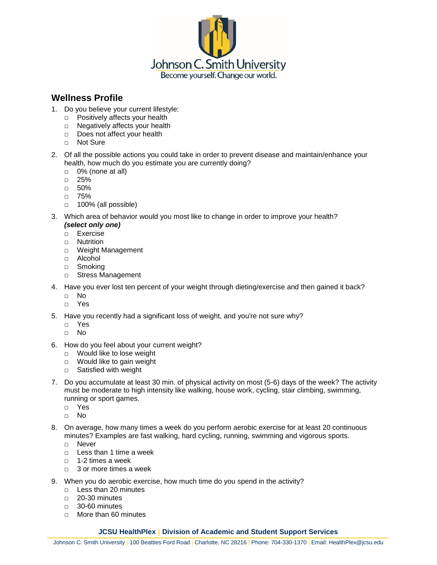

# **Wellness Profile**

- 1. Do you believe your current lifestyle:
	- □ Positively affects your health
	- □ Negatively affects your health
	- □ Does not affect your health
	- □ Not Sure
- 2. Of all the possible actions you could take in order to prevent disease and maintain/enhance your health, how much do you estimate you are currently doing?
	- $\Box$  0% (none at all)
	- □ 25%
	- □ 50%
	- □ 75%
	- □ 100% (all possible)
- 3. Which area of behavior would you most like to change in order to improve your health? *(select only one)*
	- □ Exercise
	- □ Nutrition
	- □ Weight Management
	- □ Alcohol
	- □ Smoking
	- □ Stress Management
- 4. Have you ever lost ten percent of your weight through dieting/exercise and then gained it back?
	- □ No
	- □ Yes
- 5. Have you recently had a significant loss of weight, and you're not sure why?
	- □ Yes
	- □ No
- 6. How do you feel about your current weight?
	- □ Would like to lose weight
	- □ Would like to gain weight
	- □ Satisfied with weight
- 7. Do you accumulate at least 30 min. of physical activity on most (5-6) days of the week? The activity must be moderate to high intensity like walking, house work, cycling, stair climbing, swimming, running or sport games.
	- □ Yes
	- □ No
- 8. On average, how many times a week do you perform aerobic exercise for at least 20 continuous minutes? Examples are fast walking, hard cycling, running, swimming and vigorous sports.
	- □ Never
	- □ Less than 1 time a week
	- □ 1-2 times a week
	- □ 3 or more times a week
- 9. When you do aerobic exercise, how much time do you spend in the activity?
	- □ Less than 20 minutes
	- □ 20-30 minutes
	- □ 30-60 minutes
	- □ More than 60 minutes

# **JCSU HealthPlex | Division of Academic and Student Support Services**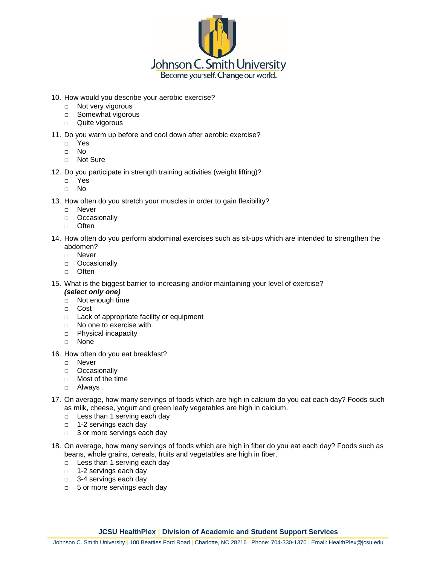

- 10. How would you describe your aerobic exercise?
	- □ Not very vigorous
	- □ Somewhat vigorous
	- □ Quite vigorous
- 11. Do you warm up before and cool down after aerobic exercise?
	- □ Yes
	- □ No
	- □ Not Sure
- 12. Do you participate in strength training activities (weight lifting)?
	- □ Yes
	- □ No
- 13. How often do you stretch your muscles in order to gain flexibility?
	- □ Never
	- □ Occasionally
	- □ Often
- 14. How often do you perform abdominal exercises such as sit-ups which are intended to strengthen the abdomen?
	- □ Never
	- □ Occasionally
	- □ Often
- 15. What is the biggest barrier to increasing and/or maintaining your level of exercise?
	- *(select only one)*
	- □ Not enough time
	- □ Cost
	- □ Lack of appropriate facility or equipment
	- □ No one to exercise with
	- □ Physical incapacity
	- □ None
- 16. How often do you eat breakfast?
	- □ Never
	- □ Occasionally
	- □ Most of the time
	- □ Always
- 17. On average, how many servings of foods which are high in calcium do you eat each day? Foods such as milk, cheese, yogurt and green leafy vegetables are high in calcium.
	- □ Less than 1 serving each day
	- □ 1-2 servings each day
	- □ 3 or more servings each day
- 18. On average, how many servings of foods which are high in fiber do you eat each day? Foods such as beans, whole grains, cereals, fruits and vegetables are high in fiber.
	- □ Less than 1 serving each day
	- □ 1-2 servings each day
	- □ 3-4 servings each day
	- □ 5 or more servings each day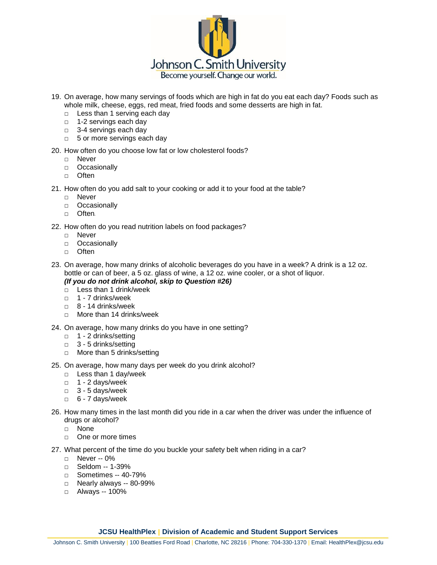

- 19. On average, how many servings of foods which are high in fat do you eat each day? Foods such as whole milk, cheese, eggs, red meat, fried foods and some desserts are high in fat.
	- □ Less than 1 serving each day
	- □ 1-2 servings each day
	- □ 3-4 servings each day
	- □ 5 or more servings each day
- 20. How often do you choose low fat or low cholesterol foods?
	- □ Never
	- □ Occasionally
	- □ Often
- 21. How often do you add salt to your cooking or add it to your food at the table?
	- □ Never
	- □ Occasionally
	- □ Often.
- 22. How often do you read nutrition labels on food packages?
	- □ Never
	- □ Occasionally
	- □ Often
- 23. On average, how many drinks of alcoholic beverages do you have in a week? A drink is a 12 oz. bottle or can of beer, a 5 oz. glass of wine, a 12 oz. wine cooler, or a shot of liquor.
	- *(If you do not drink alcohol, skip to Question #26)*
	- □ Less than 1 drink/week
	- □ 1 7 drinks/week
	- □ 8 14 drinks/week
	- □ More than 14 drinks/week
- 24. On average, how many drinks do you have in one setting?
	- □ 1 2 drinks/setting
	- □ 3 5 drinks/setting
	- □ More than 5 drinks/setting
- 25. On average, how many days per week do you drink alcohol?
	- □ Less than 1 day/week
	- $\Box$  1 2 davs/week
	- □ 3 5 days/week
	- □ 6 7 days/week
- 26. How many times in the last month did you ride in a car when the driver was under the influence of drugs or alcohol?
	- □ None
	- □ One or more times
- 27. What percent of the time do you buckle your safety belt when riding in a car?
	- □ Never -- 0%
	- □ Seldom -- 1-39%
	- □ Sometimes -- 40-79%
	- □ Nearly always -- 80-99%
	- □ Always -- 100%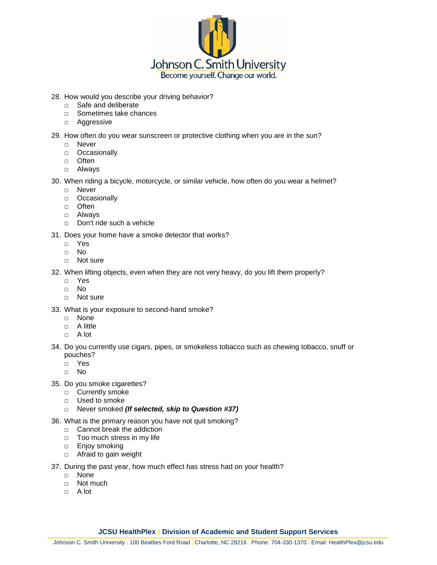

28. How would you describe your driving behavior?

- □ Safe and deliberate
- □ Sometimes take chances
- □ Aggressive
- 29. How often do you wear sunscreen or protective clothing when you are in the sun?
	- □ Never
	- □ Occasionally
	- □ Often
	- □ Always

30. When riding a bicycle, motorcycle, or similar vehicle, how often do you wear a helmet?

- □ Never
- □ Occasionally
- □ Often
- □ Always
- □ Don't ride such a vehicle

31. Does your home have a smoke detector that works?

- □ Yes
- □ No
- □ Not sure

32. When lifting objects, even when they are not very heavy, do you lift them properly?

- □ Yes
- □ No
- □ Not sure
- 33. What is your exposure to second-hand smoke?
	- □ None
	- □ A little
	- □ A lot
- 34. Do you currently use cigars, pipes, or smokeless tobacco such as chewing tobacco, snuff or pouches?
	- □ Yes
	- □ No
- 35. Do you smoke cigarettes?
	- □ Currently smoke
	- □ Used to smoke
	- □ Never smoked *(If selected, skip to Question #37)*
- 36. What is the primary reason you have not quit smoking?
	- □ Cannot break the addiction
	- □ Too much stress in my life
	- □ Enjoy smoking
	- □ Afraid to gain weight
- 37. During the past year, how much effect has stress had on your health?
	- □ None
	- □ Not much
	- $\Box$  A lot

# **JCSU HealthPlex | Division of Academic and Student Support Services**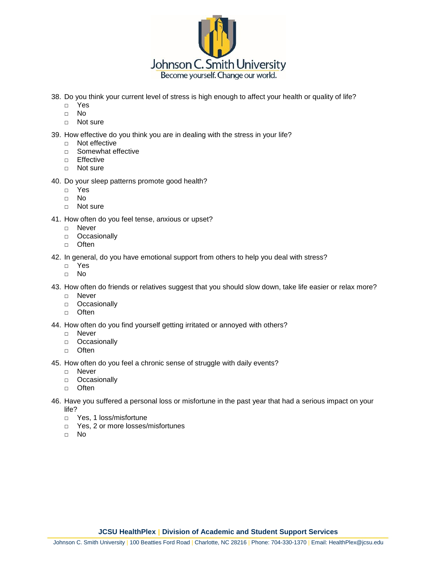

38. Do you think your current level of stress is high enough to affect your health or quality of life?

- □ Yes
- □ No
- □ Not sure

39. How effective do you think you are in dealing with the stress in your life?

- □ Not effective
- □ Somewhat effective
- □ Effective
- □ Not sure

# 40. Do your sleep patterns promote good health?

- □ Yes
- □ No
- □ Not sure
- 41. How often do you feel tense, anxious or upset?
	- □ Never
	- □ Occasionally
	- □ Often
- 42. In general, do you have emotional support from others to help you deal with stress?
	- □ Yes
	- □ No

43. How often do friends or relatives suggest that you should slow down, take life easier or relax more?

- □ Never
- □ Occasionally
- □ Often
- 44. How often do you find yourself getting irritated or annoyed with others?
	- □ Never
	- □ Occasionally
	- □ Often

45. How often do you feel a chronic sense of struggle with daily events?

- □ Never
- □ Occasionally
- □ Often
- 46. Have you suffered a personal loss or misfortune in the past year that had a serious impact on your life?
	- □ Yes, 1 loss/misfortune
	- □ Yes, 2 or more losses/misfortunes
	- □ No

**JCSU HealthPlex | Division of Academic and Student Support Services**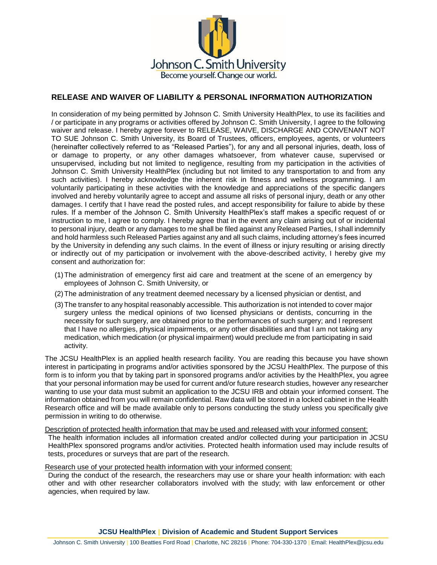

# **RELEASE AND WAIVER OF LIABILITY & PERSONAL INFORMATION AUTHORIZATION**

In consideration of my being permitted by Johnson C. Smith University HealthPlex, to use its facilities and / or participate in any programs or activities offered by Johnson C. Smith University, I agree to the following waiver and release. I hereby agree forever to RELEASE, WAIVE, DISCHARGE AND CONVENANT NOT TO SUE Johnson C. Smith University, its Board of Trustees, officers, employees, agents, or volunteers (hereinafter collectively referred to as "Released Parties"), for any and all personal injuries, death, loss of or damage to property, or any other damages whatsoever, from whatever cause, supervised or unsupervised, including but not limited to negligence, resulting from my participation in the activities of Johnson C. Smith University HealthPlex (including but not limited to any transportation to and from any such activities). I hereby acknowledge the inherent risk in fitness and wellness programming. I am voluntarily participating in these activities with the knowledge and appreciations of the specific dangers involved and hereby voluntarily agree to accept and assume all risks of personal injury, death or any other damages. I certify that I have read the posted rules, and accept responsibility for failure to abide by these rules. If a member of the Johnson C. Smith University HealthPlex's staff makes a specific request of or instruction to me, I agree to comply. I hereby agree that in the event any claim arising out of or incidental to personal injury, death or any damages to me shall be filed against any Released Parties, I shall indemnify and hold harmless such Released Parties against any and all such claims, including attorney's fees incurred by the University in defending any such claims. In the event of illness or injury resulting or arising directly or indirectly out of my participation or involvement with the above-described activity, I hereby give my consent and authorization for:

- (1)The administration of emergency first aid care and treatment at the scene of an emergency by employees of Johnson C. Smith University, or
- (2)The administration of any treatment deemed necessary by a licensed physician or dentist, and
- (3)The transfer to any hospital reasonably accessible. This authorization is not intended to cover major surgery unless the medical opinions of two licensed physicians or dentists, concurring in the necessity for such surgery, are obtained prior to the performances of such surgery; and I represent that I have no allergies, physical impairments, or any other disabilities and that I am not taking any medication, which medication (or physical impairment) would preclude me from participating in said activity.

The JCSU HealthPlex is an applied health research facility. You are reading this because you have shown interest in participating in programs and/or activities sponsored by the JCSU HealthPlex. The purpose of this form is to inform you that by taking part in sponsored programs and/or activities by the HealthPlex, you agree that your personal information may be used for current and/or future research studies, however any researcher wanting to use your data must submit an application to the JCSU IRB and obtain your informed consent. The information obtained from you will remain confidential. Raw data will be stored in a locked cabinet in the Health Research office and will be made available only to persons conducting the study unless you specifically give permission in writing to do otherwise.

Description of protected health information that may be used and released with your informed consent:

The health information includes all information created and/or collected during your participation in JCSU HealthPlex sponsored programs and/or activities. Protected health information used may include results of tests, procedures or surveys that are part of the research.

#### Research use of your protected health information with your informed consent:

During the conduct of the research, the researchers may use or share your health information: with each other and with other researcher collaborators involved with the study; with law enforcement or other agencies, when required by law.